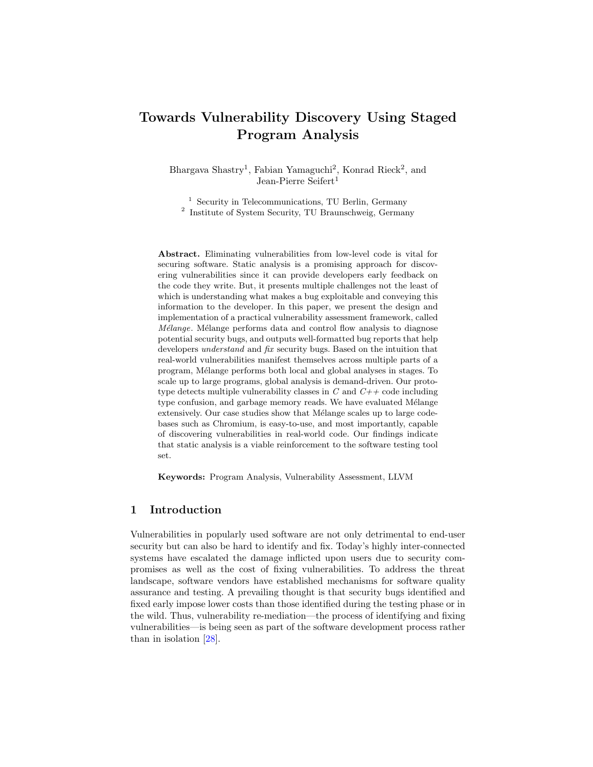# Towards Vulnerability Discovery Using Staged Program Analysis

Bhargava Shastry<sup>1</sup>, Fabian Yamaguchi<sup>2</sup>, Konrad Rieck<sup>2</sup>, and Jean-Pierre Seifert<sup>1</sup>

<sup>1</sup> Security in Telecommunications, TU Berlin, Germany <sup>2</sup> Institute of System Security, TU Braunschweig, Germany

Abstract. Eliminating vulnerabilities from low-level code is vital for securing software. Static analysis is a promising approach for discovering vulnerabilities since it can provide developers early feedback on the code they write. But, it presents multiple challenges not the least of which is understanding what makes a bug exploitable and conveying this information to the developer. In this paper, we present the design and implementation of a practical vulnerability assessment framework, called  $Mélange$ . Mélange performs data and control flow analysis to diagnose potential security bugs, and outputs well-formatted bug reports that help developers *understand* and fix security bugs. Based on the intuition that real-world vulnerabilities manifest themselves across multiple parts of a program, M´elange performs both local and global analyses in stages. To scale up to large programs, global analysis is demand-driven. Our prototype detects multiple vulnerability classes in C and  $C_{++}$  code including type confusion, and garbage memory reads. We have evaluated Mélange extensively. Our case studies show that Mélange scales up to large codebases such as Chromium, is easy-to-use, and most importantly, capable of discovering vulnerabilities in real-world code. Our findings indicate that static analysis is a viable reinforcement to the software testing tool set.

Keywords: Program Analysis, Vulnerability Assessment, LLVM

### 1 Introduction

Vulnerabilities in popularly used software are not only detrimental to end-user security but can also be hard to identify and fix. Today's highly inter-connected systems have escalated the damage inflicted upon users due to security compromises as well as the cost of fixing vulnerabilities. To address the threat landscape, software vendors have established mechanisms for software quality assurance and testing. A prevailing thought is that security bugs identified and fixed early impose lower costs than those identified during the testing phase or in the wild. Thus, vulnerability re-mediation—the process of identifying and fixing vulnerabilities—is being seen as part of the software development process rather than in isolation [\[28\]](#page-18-0).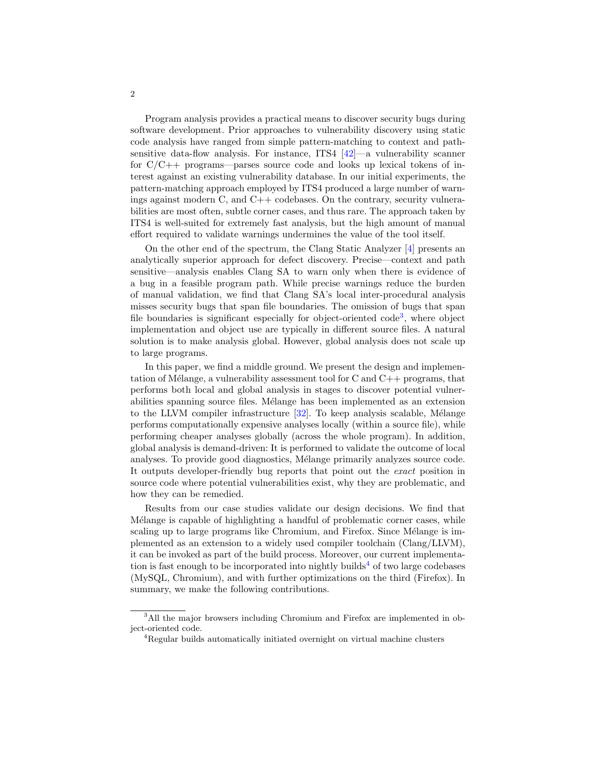Program analysis provides a practical means to discover security bugs during software development. Prior approaches to vulnerability discovery using static code analysis have ranged from simple pattern-matching to context and pathsensitive data-flow analysis. For instance, ITS4  $[42]$ —a vulnerability scanner for  $C/C++$  programs—parses source code and looks up lexical tokens of interest against an existing vulnerability database. In our initial experiments, the pattern-matching approach employed by ITS4 produced a large number of warnings against modern C, and C++ codebases. On the contrary, security vulnerabilities are most often, subtle corner cases, and thus rare. The approach taken by ITS4 is well-suited for extremely fast analysis, but the high amount of manual effort required to validate warnings undermines the value of the tool itself.

On the other end of the spectrum, the Clang Static Analyzer [\[4\]](#page-17-0) presents an analytically superior approach for defect discovery. Precise—context and path sensitive—analysis enables Clang SA to warn only when there is evidence of a bug in a feasible program path. While precise warnings reduce the burden of manual validation, we find that Clang SA's local inter-procedural analysis misses security bugs that span file boundaries. The omission of bugs that span file boundaries is significant especially for object-oriented code<sup>[3](#page-1-0)</sup>, where object implementation and object use are typically in different source files. A natural solution is to make analysis global. However, global analysis does not scale up to large programs.

In this paper, we find a middle ground. We present the design and implementation of Mélange, a vulnerability assessment tool for C and  $C++$  programs, that performs both local and global analysis in stages to discover potential vulnerabilities spanning source files. M´elange has been implemented as an extension to the LLVM compiler infrastructure  $[32]$ . To keep analysis scalable, Mélange performs computationally expensive analyses locally (within a source file), while performing cheaper analyses globally (across the whole program). In addition, global analysis is demand-driven: It is performed to validate the outcome of local analyses. To provide good diagnostics, Mélange primarily analyzes source code. It outputs developer-friendly bug reports that point out the exact position in source code where potential vulnerabilities exist, why they are problematic, and how they can be remedied.

Results from our case studies validate our design decisions. We find that Mélange is capable of highlighting a handful of problematic corner cases, while scaling up to large programs like Chromium, and Firefox. Since Mélange is implemented as an extension to a widely used compiler toolchain (Clang/LLVM), it can be invoked as part of the build process. Moreover, our current implementa-tion is fast enough to be incorporated into nightly builds<sup>[4](#page-1-1)</sup> of two large codebases (MySQL, Chromium), and with further optimizations on the third (Firefox). In summary, we make the following contributions.

<span id="page-1-0"></span><sup>&</sup>lt;sup>3</sup>All the major browsers including Chromium and Firefox are implemented in object-oriented code.

<span id="page-1-1"></span><sup>4</sup>Regular builds automatically initiated overnight on virtual machine clusters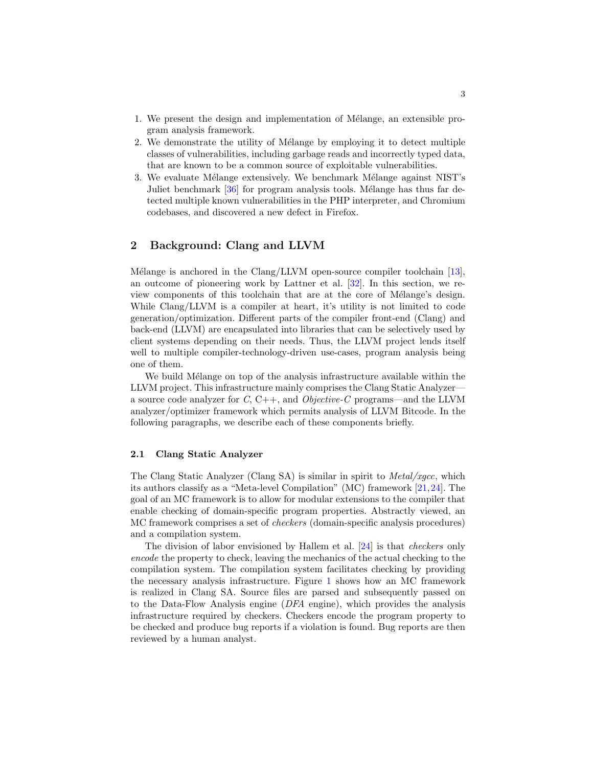- 1. We present the design and implementation of Mélange, an extensible program analysis framework.
- 2. We demonstrate the utility of Mélange by employing it to detect multiple classes of vulnerabilities, including garbage reads and incorrectly typed data, that are known to be a common source of exploitable vulnerabilities.
- 3. We evaluate Mélange extensively. We benchmark Mélange against NIST's Juliet benchmark [\[36\]](#page-19-2) for program analysis tools. Mélange has thus far detected multiple known vulnerabilities in the PHP interpreter, and Chromium codebases, and discovered a new defect in Firefox.

## 2 Background: Clang and LLVM

Mélange is anchored in the Clang/LLVM open-source compiler toolchain  $[13]$ , an outcome of pioneering work by Lattner et al. [\[32\]](#page-19-1). In this section, we review components of this toolchain that are at the core of Mélange's design. While Clang/LLVM is a compiler at heart, it's utility is not limited to code generation/optimization. Different parts of the compiler front-end (Clang) and back-end (LLVM) are encapsulated into libraries that can be selectively used by client systems depending on their needs. Thus, the LLVM project lends itself well to multiple compiler-technology-driven use-cases, program analysis being one of them.

We build Mélange on top of the analysis infrastructure available within the LLVM project. This infrastructure mainly comprises the Clang Static Analyzer a source code analyzer for  $C, C++,$  and  $Objective-C$  programs—and the LLVM analyzer/optimizer framework which permits analysis of LLVM Bitcode. In the following paragraphs, we describe each of these components briefly.

#### 2.1 Clang Static Analyzer

The Clang Static Analyzer (Clang SA) is similar in spirit to Metal/xgcc, which its authors classify as a "Meta-level Compilation" (MC) framework [\[21,](#page-18-2)[24\]](#page-18-3). The goal of an MC framework is to allow for modular extensions to the compiler that enable checking of domain-specific program properties. Abstractly viewed, an MC framework comprises a set of checkers (domain-specific analysis procedures) and a compilation system.

The division of labor envisioned by Hallem et al. [\[24\]](#page-18-3) is that checkers only encode the property to check, leaving the mechanics of the actual checking to the compilation system. The compilation system facilitates checking by providing the necessary analysis infrastructure. Figure [1](#page-3-0) shows how an MC framework is realized in Clang SA. Source files are parsed and subsequently passed on to the Data-Flow Analysis engine (DFA engine), which provides the analysis infrastructure required by checkers. Checkers encode the program property to be checked and produce bug reports if a violation is found. Bug reports are then reviewed by a human analyst.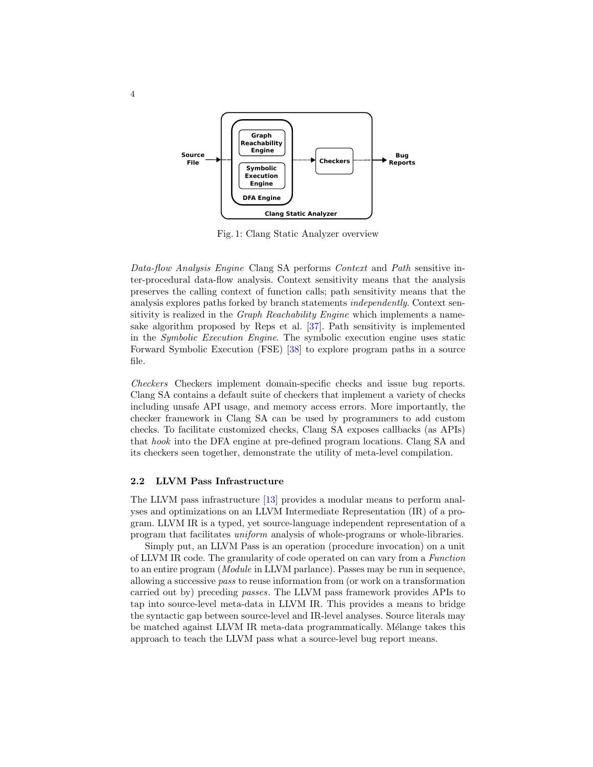<span id="page-3-0"></span>

Fig. 1: Clang Static Analyzer overview

Data-flow Analysis Engine Clang SA performs Context and Path sensitive inter-procedural data-flow analysis. Context sensitivity means that the analysis preserves the calling context of function calls; path sensitivity means that the analysis explores paths forked by branch statements independently. Context sensitivity is realized in the *Graph Reachability Engine* which implements a namesake algorithm proposed by Reps et al. [\[37\]](#page-19-3). Path sensitivity is implemented in the Symbolic Execution Engine. The symbolic execution engine uses static Forward Symbolic Execution (FSE) [\[38\]](#page-19-4) to explore program paths in a source file.

Checkers Checkers implement domain-specific checks and issue bug reports. Clang SA contains a default suite of checkers that implement a variety of checks including unsafe API usage, and memory access errors. More importantly, the checker framework in Clang SA can be used by programmers to add custom checks. To facilitate customized checks, Clang SA exposes callbacks (as APIs) that hook into the DFA engine at pre-defined program locations. Clang SA and its checkers seen together, demonstrate the utility of meta-level compilation.

#### 2.2 LLVM Pass Infrastructure

The LLVM pass infrastructure [\[13\]](#page-18-1) provides a modular means to perform analyses and optimizations on an LLVM Intermediate Representation (IR) of a program. LLVM IR is a typed, yet source-language independent representation of a program that facilitates uniform analysis of whole-programs or whole-libraries.

Simply put, an LLVM Pass is an operation (procedure invocation) on a unit of LLVM IR code. The granularity of code operated on can vary from a Function to an entire program (Module in LLVM parlance). Passes may be run in sequence, allowing a successive pass to reuse information from (or work on a transformation carried out by) preceding passes. The LLVM pass framework provides APIs to tap into source-level meta-data in LLVM IR. This provides a means to bridge the syntactic gap between source-level and IR-level analyses. Source literals may be matched against LLVM IR meta-data programmatically. Mélange takes this approach to teach the LLVM pass what a source-level bug report means.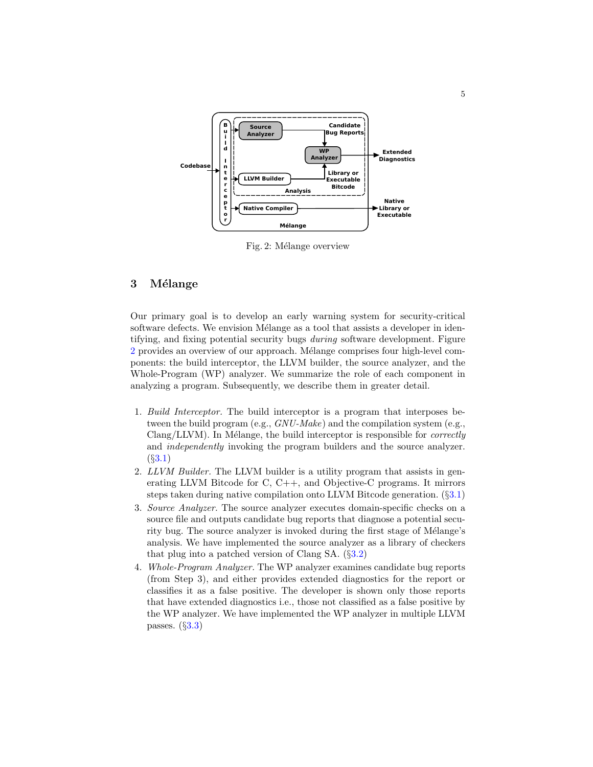<span id="page-4-0"></span>

Fig. 2: Mélange overview

## 3 Mélange

Our primary goal is to develop an early warning system for security-critical software defects. We envision Mélange as a tool that assists a developer in identifying, and fixing potential security bugs during software development. Figure [2](#page-4-0) provides an overview of our approach. Mélange comprises four high-level components: the build interceptor, the LLVM builder, the source analyzer, and the Whole-Program (WP) analyzer. We summarize the role of each component in analyzing a program. Subsequently, we describe them in greater detail.

- 1. Build Interceptor. The build interceptor is a program that interposes between the build program (e.g.,  $GNU-Make$ ) and the compilation system (e.g.,  $Clang/LLVM$ ). In Mélange, the build interceptor is responsible for *correctly* and independently invoking the program builders and the source analyzer. (§[3.1\)](#page-5-0)
- 2. *LLVM Builder*. The LLVM builder is a utility program that assists in generating LLVM Bitcode for C,  $C_{++}$ , and Objective-C programs. It mirrors steps taken during native compilation onto LLVM Bitcode generation. (§[3.1\)](#page-5-0)
- 3. Source Analyzer. The source analyzer executes domain-specific checks on a source file and outputs candidate bug reports that diagnose a potential security bug. The source analyzer is invoked during the first stage of Mélange's analysis. We have implemented the source analyzer as a library of checkers that plug into a patched version of Clang SA. (§[3.2\)](#page-5-1)
- 4. Whole-Program Analyzer. The WP analyzer examines candidate bug reports (from Step 3), and either provides extended diagnostics for the report or classifies it as a false positive. The developer is shown only those reports that have extended diagnostics i.e., those not classified as a false positive by the WP analyzer. We have implemented the WP analyzer in multiple LLVM passes.  $(\S3.3)$  $(\S3.3)$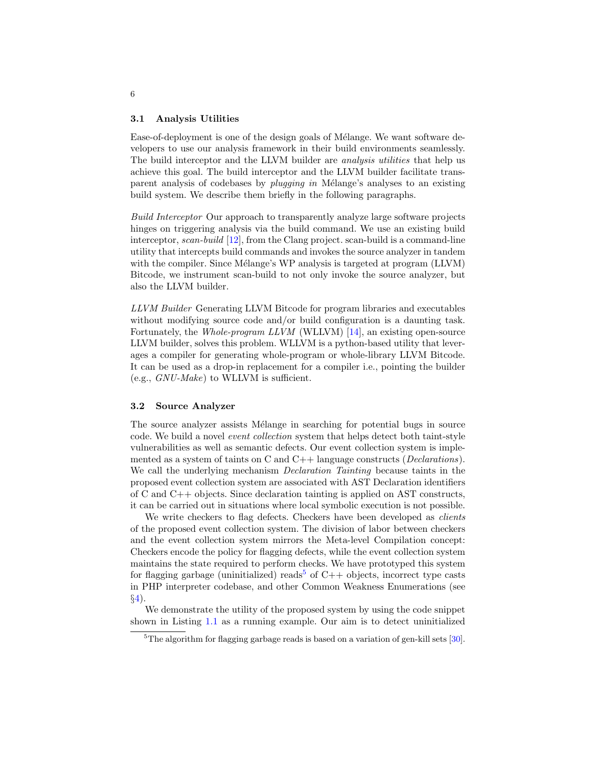#### <span id="page-5-0"></span>3.1 Analysis Utilities

Ease-of-deployment is one of the design goals of Mélange. We want software developers to use our analysis framework in their build environments seamlessly. The build interceptor and the LLVM builder are analysis utilities that help us achieve this goal. The build interceptor and the LLVM builder facilitate transparent analysis of codebases by *plugging in* Mélange's analyses to an existing build system. We describe them briefly in the following paragraphs.

Build Interceptor Our approach to transparently analyze large software projects hinges on triggering analysis via the build command. We use an existing build interceptor, scan-build [\[12\]](#page-18-4), from the Clang project. scan-build is a command-line utility that intercepts build commands and invokes the source analyzer in tandem with the compiler. Since Mélange's WP analysis is targeted at program (LLVM) Bitcode, we instrument scan-build to not only invoke the source analyzer, but also the LLVM builder.

LLVM Builder Generating LLVM Bitcode for program libraries and executables without modifying source code and/or build configuration is a daunting task. Fortunately, the Whole-program LLVM (WLLVM) [\[14\]](#page-18-5), an existing open-source LLVM builder, solves this problem. WLLVM is a python-based utility that leverages a compiler for generating whole-program or whole-library LLVM Bitcode. It can be used as a drop-in replacement for a compiler i.e., pointing the builder (e.g.,  $GNU-Make$ ) to WLLVM is sufficient.

#### <span id="page-5-1"></span>3.2 Source Analyzer

The source analyzer assists Mélange in searching for potential bugs in source code. We build a novel event collection system that helps detect both taint-style vulnerabilities as well as semantic defects. Our event collection system is implemented as a system of taints on C and  $C_{++}$  language constructs (*Declarations*). We call the underlying mechanism *Declaration Tainting* because taints in the proposed event collection system are associated with AST Declaration identifiers of C and C++ objects. Since declaration tainting is applied on AST constructs, it can be carried out in situations where local symbolic execution is not possible.

We write checkers to flag defects. Checkers have been developed as *clients* of the proposed event collection system. The division of labor between checkers and the event collection system mirrors the Meta-level Compilation concept: Checkers encode the policy for flagging defects, while the event collection system maintains the state required to perform checks. We have prototyped this system for flagging garbage (uninitialized) reads<sup>[5](#page-5-2)</sup> of  $C++$  objects, incorrect type casts in PHP interpreter codebase, and other Common Weakness Enumerations (see §[4\)](#page-8-0).

We demonstrate the utility of the proposed system by using the code snippet shown in Listing [1.1](#page-6-0) as a running example. Our aim is to detect uninitialized

<span id="page-5-2"></span><sup>&</sup>lt;sup>5</sup>The algorithm for flagging garbage reads is based on a variation of gen-kill sets  $[30]$ .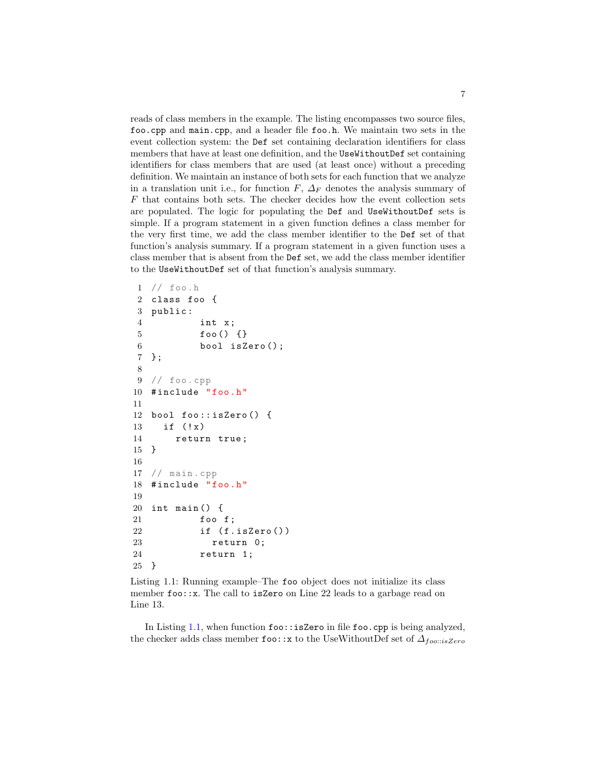reads of class members in the example. The listing encompasses two source files, foo.cpp and main.cpp, and a header file foo.h. We maintain two sets in the event collection system: the Def set containing declaration identifiers for class members that have at least one definition, and the UseWithoutDef set containing identifiers for class members that are used (at least once) without a preceding definition. We maintain an instance of both sets for each function that we analyze in a translation unit i.e., for function  $F$ ,  $\Delta_F$  denotes the analysis summary of F that contains both sets. The checker decides how the event collection sets are populated. The logic for populating the Def and UseWithoutDef sets is simple. If a program statement in a given function defines a class member for the very first time, we add the class member identifier to the Def set of that function's analysis summary. If a program statement in a given function uses a class member that is absent from the Def set, we add the class member identifier to the UseWithoutDef set of that function's analysis summary.

```
1 // foo .h
2 class foo {
3 public :
4 int x ;
5 foo () {}
6 bool isZero () ;
7 };
8
9 // foo .cpp
10 #include "foo.h"
11
12 bool foo::isZero() {
13 if (! x )
14 return true ;
15 }
16
17 // main .cpp
18 #include "foo.h"
19
20 int main () {
21 foo f ;
22 if (f.isZero())23 return 0;
24 return 1;
25 }
```
Listing 1.1: Running example–The foo object does not initialize its class member foo:: x. The call to isZero on Line 22 leads to a garbage read on Line 13.

In Listing [1.1,](#page-6-0) when function  $\texttt{foo}:\texttt{isZero}$  in file  $\texttt{foo}.\texttt{cpp}$  is being analyzed, the checker adds class member  $f \circ \circ$ ::x to the UseWithoutDef set of  $\Delta_{f o o :: is Zero}$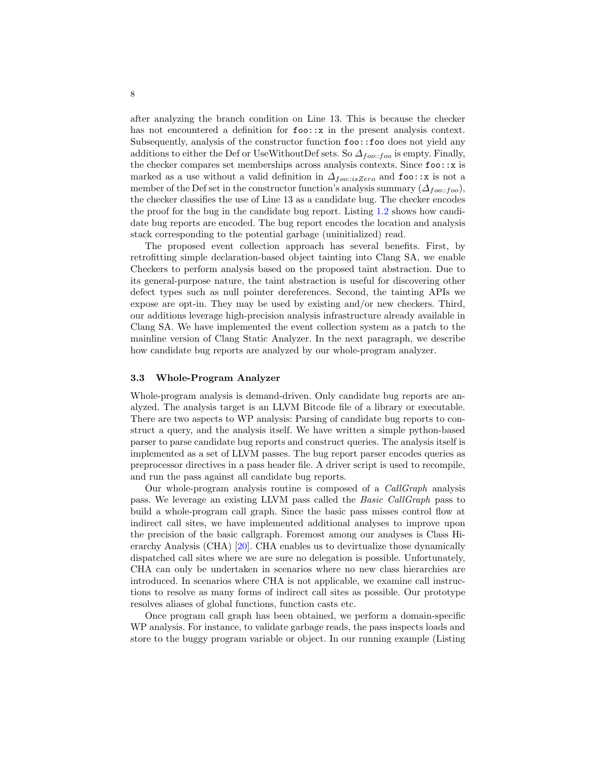after analyzing the branch condition on Line 13. This is because the checker has not encountered a definition for  $f \circ \circ : \mathbf{x}$  in the present analysis context. Subsequently, analysis of the constructor function foo::foo does not yield any additions to either the Def or UseWithoutDef sets. So  $\Delta_{foo::foo}$  is empty. Finally, the checker compares set memberships across analysis contexts. Since foo::x is marked as a use without a valid definition in  $\Delta_{foo::isZero}$  and foo::x is not a member of the Def set in the constructor function's analysis summary  $(\Delta_{foo::foo})$ , the checker classifies the use of Line 13 as a candidate bug. The checker encodes the proof for the bug in the candidate bug report. Listing [1.2](#page-8-1) shows how candidate bug reports are encoded. The bug report encodes the location and analysis stack corresponding to the potential garbage (uninitialized) read.

The proposed event collection approach has several benefits. First, by retrofitting simple declaration-based object tainting into Clang SA, we enable Checkers to perform analysis based on the proposed taint abstraction. Due to its general-purpose nature, the taint abstraction is useful for discovering other defect types such as null pointer dereferences. Second, the tainting APIs we expose are opt-in. They may be used by existing and/or new checkers. Third, our additions leverage high-precision analysis infrastructure already available in Clang SA. We have implemented the event collection system as a patch to the mainline version of Clang Static Analyzer. In the next paragraph, we describe how candidate bug reports are analyzed by our whole-program analyzer.

#### <span id="page-7-0"></span>3.3 Whole-Program Analyzer

Whole-program analysis is demand-driven. Only candidate bug reports are analyzed. The analysis target is an LLVM Bitcode file of a library or executable. There are two aspects to WP analysis: Parsing of candidate bug reports to construct a query, and the analysis itself. We have written a simple python-based parser to parse candidate bug reports and construct queries. The analysis itself is implemented as a set of LLVM passes. The bug report parser encodes queries as preprocessor directives in a pass header file. A driver script is used to recompile, and run the pass against all candidate bug reports.

Our whole-program analysis routine is composed of a CallGraph analysis pass. We leverage an existing LLVM pass called the Basic CallGraph pass to build a whole-program call graph. Since the basic pass misses control flow at indirect call sites, we have implemented additional analyses to improve upon the precision of the basic callgraph. Foremost among our analyses is Class Hierarchy Analysis (CHA) [\[20\]](#page-18-6). CHA enables us to devirtualize those dynamically dispatched call sites where we are sure no delegation is possible. Unfortunately, CHA can only be undertaken in scenarios where no new class hierarchies are introduced. In scenarios where CHA is not applicable, we examine call instructions to resolve as many forms of indirect call sites as possible. Our prototype resolves aliases of global functions, function casts etc.

Once program call graph has been obtained, we perform a domain-specific WP analysis. For instance, to validate garbage reads, the pass inspects loads and store to the buggy program variable or object. In our running example (Listing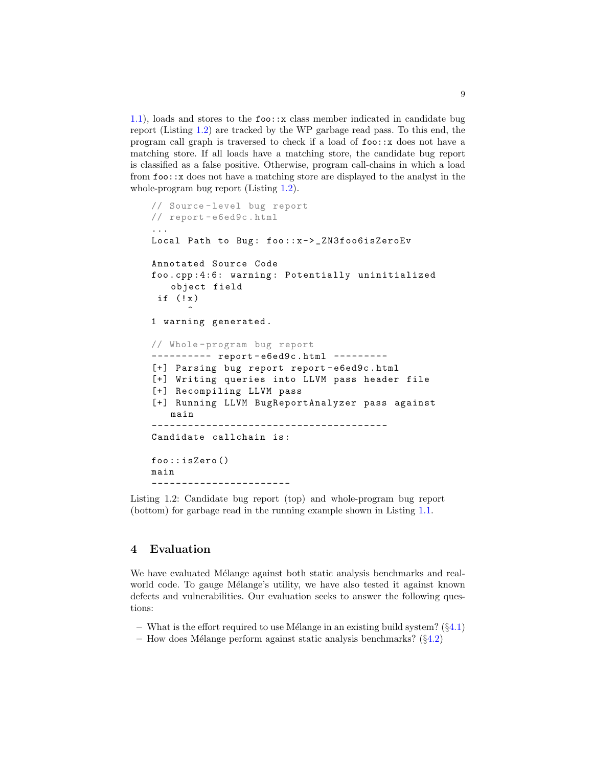[1.1\)](#page-6-0), loads and stores to the foo::x class member indicated in candidate bug report (Listing [1.2\)](#page-8-1) are tracked by the WP garbage read pass. To this end, the program call graph is traversed to check if a load of foo::x does not have a matching store. If all loads have a matching store, the candidate bug report is classified as a false positive. Otherwise, program call-chains in which a load from foo::x does not have a matching store are displayed to the analyst in the whole-program bug report (Listing [1.2\)](#page-8-1).

```
// Source - level bug report
// report - e6ed9c . html
...
Local Path to Bug: foo:: x -> _ ZN3foo6isZeroEv
Annotated Source Code
foo . cpp :4:6: warning : Potentially uninitialized
   object field
 if (!x)\hat{ }1 warning generated .
// Whole - program bug report
---------- report - e6ed9c . html ---------
[+] Parsing bug report report - e6ed9c . html
[+] Writing queries into LLVM pass header file
[+] Recompiling LLVM pass
[+] Running LLVM BugReportAnalyzer pass against
   main
   ---------------------------------------
Candidate callchain is :
foo :: isZero ()
main
-----------------------
```
Listing 1.2: Candidate bug report (top) and whole-program bug report (bottom) for garbage read in the running example shown in Listing [1.1.](#page-6-0)

### <span id="page-8-0"></span>4 Evaluation

We have evaluated Mélange against both static analysis benchmarks and realworld code. To gauge Mélange's utility, we have also tested it against known defects and vulnerabilities. Our evaluation seeks to answer the following questions:

- What is the effort required to use Mélange in an existing build system? ( $\S 4.1$ )
- How does Mélange perform against static analysis benchmarks? ( $\S4.2$ )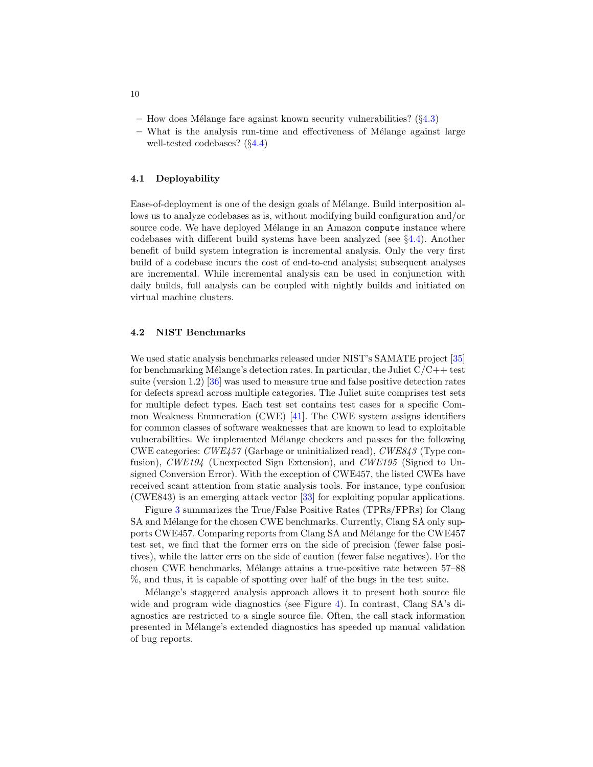- How does Mélange fare against known security vulnerabilities?  $(\S4.3)$  $(\S4.3)$
- $-$  What is the analysis run-time and effectiveness of Mélange against large well-tested codebases? (§[4.4\)](#page-10-1)

#### <span id="page-9-0"></span>4.1 Deployability

Ease-of-deployment is one of the design goals of Mélange. Build interposition allows us to analyze codebases as is, without modifying build configuration and/or source code. We have deployed Mélange in an Amazon compute instance where codebases with different build systems have been analyzed (see  $\S 4.4$ ). Another benefit of build system integration is incremental analysis. Only the very first build of a codebase incurs the cost of end-to-end analysis; subsequent analyses are incremental. While incremental analysis can be used in conjunction with daily builds, full analysis can be coupled with nightly builds and initiated on virtual machine clusters.

#### <span id="page-9-1"></span>4.2 NIST Benchmarks

We used static analysis benchmarks released under NIST's SAMATE project [\[35\]](#page-19-6) for benchmarking Mélange's detection rates. In particular, the Juliet  $C/C++$  test suite (version 1.2) [\[36\]](#page-19-2) was used to measure true and false positive detection rates for defects spread across multiple categories. The Juliet suite comprises test sets for multiple defect types. Each test set contains test cases for a specific Common Weakness Enumeration (CWE) [\[41\]](#page-19-7). The CWE system assigns identifiers for common classes of software weaknesses that are known to lead to exploitable vulnerabilities. We implemented Mélange checkers and passes for the following CWE categories:  $CWE457$  (Garbage or uninitialized read),  $CWE843$  (Type confusion), CWE194 (Unexpected Sign Extension), and CWE195 (Signed to Unsigned Conversion Error). With the exception of CWE457, the listed CWEs have received scant attention from static analysis tools. For instance, type confusion (CWE843) is an emerging attack vector [\[33\]](#page-19-8) for exploiting popular applications.

Figure [3](#page-10-2) summarizes the True/False Positive Rates (TPRs/FPRs) for Clang SA and Mélange for the chosen CWE benchmarks. Currently, Clang SA only supports CWE457. Comparing reports from Clang SA and Mélange for the CWE457 test set, we find that the former errs on the side of precision (fewer false positives), while the latter errs on the side of caution (fewer false negatives). For the chosen CWE benchmarks, Mélange attains a true-positive rate between 57–88 %, and thus, it is capable of spotting over half of the bugs in the test suite.

Mélange's staggered analysis approach allows it to present both source file wide and program wide diagnostics (see Figure [4\)](#page-12-0). In contrast, Clang SA's diagnostics are restricted to a single source file. Often, the call stack information presented in Mélange's extended diagnostics has speeded up manual validation of bug reports.

10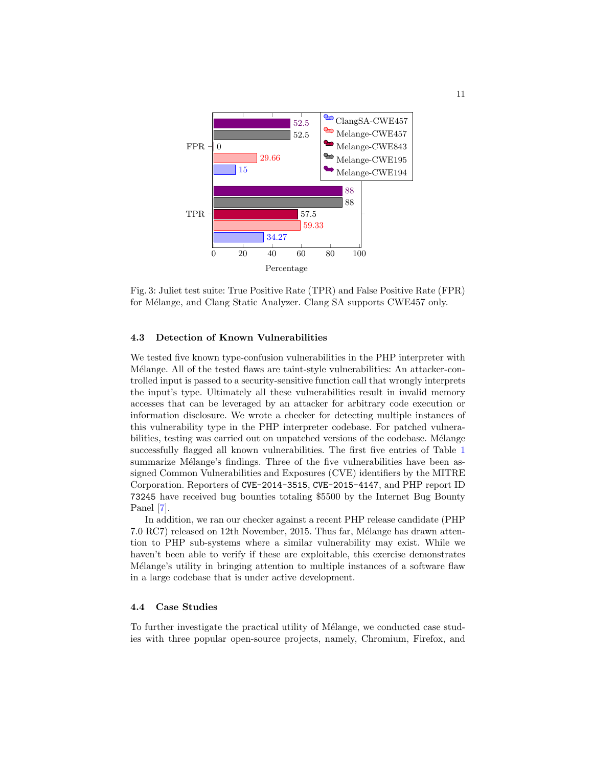<span id="page-10-2"></span>

Fig. 3: Juliet test suite: True Positive Rate (TPR) and False Positive Rate (FPR) for Mélange, and Clang Static Analyzer. Clang SA supports CWE457 only.

#### <span id="page-10-0"></span>4.3 Detection of Known Vulnerabilities

We tested five known type-confusion vulnerabilities in the PHP interpreter with Mélange. All of the tested flaws are taint-style vulnerabilities: An attacker-controlled input is passed to a security-sensitive function call that wrongly interprets the input's type. Ultimately all these vulnerabilities result in invalid memory accesses that can be leveraged by an attacker for arbitrary code execution or information disclosure. We wrote a checker for detecting multiple instances of this vulnerability type in the PHP interpreter codebase. For patched vulnerabilities, testing was carried out on unpatched versions of the codebase. Mélange successfully flagged all known vulnerabilities. The first five entries of Table [1](#page-11-0) summarize Mélange's findings. Three of the five vulnerabilities have been assigned Common Vulnerabilities and Exposures (CVE) identifiers by the MITRE Corporation. Reporters of CVE-2014-3515, CVE-2015-4147, and PHP report ID 73245 have received bug bounties totaling \$5500 by the Internet Bug Bounty Panel [\[7\]](#page-18-7).

In addition, we ran our checker against a recent PHP release candidate (PHP 7.0 RC7) released on 12th November, 2015. Thus far, Mélange has drawn attention to PHP sub-systems where a similar vulnerability may exist. While we haven't been able to verify if these are exploitable, this exercise demonstrates Mélange's utility in bringing attention to multiple instances of a software flaw in a large codebase that is under active development.

### <span id="page-10-1"></span>4.4 Case Studies

To further investigate the practical utility of Mélange, we conducted case studies with three popular open-source projects, namely, Chromium, Firefox, and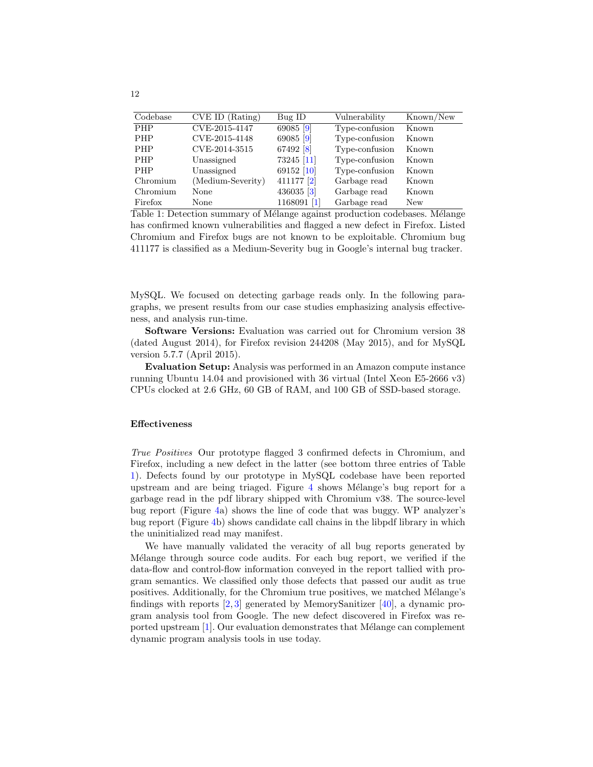<span id="page-11-0"></span>

| Codebase   | $CVE$ ID (Rating) | Bug ID      | Vulnerability  | Known/New |
|------------|-------------------|-------------|----------------|-----------|
| <b>PHP</b> | CVE-2015-4147     | 69085 [9]   | Type-confusion | Known     |
| <b>PHP</b> | CVE-2015-4148     | 69085 [9]   | Type-confusion | Known     |
| <b>PHP</b> | CVE-2014-3515     | 67492 [8]   | Type-confusion | Known     |
| <b>PHP</b> | Unassigned        | 73245 [11]  | Type-confusion | Known     |
| <b>PHP</b> | Unassigned        | 69152 [10]  | Type-confusion | Known     |
| Chromium   | (Medium-Severity) | 411177 [2]  | Garbage read   | Known     |
| Chromium   | None              | 436035 [3]  | Garbage read   | Known     |
| Firefox    | None              | 1168091 [1] | Garbage read   | New       |

Table 1: Detection summary of Mélange against production codebases. Mélange has confirmed known vulnerabilities and flagged a new defect in Firefox. Listed Chromium and Firefox bugs are not known to be exploitable. Chromium bug 411177 is classified as a Medium-Severity bug in Google's internal bug tracker.

MySQL. We focused on detecting garbage reads only. In the following paragraphs, we present results from our case studies emphasizing analysis effectiveness, and analysis run-time.

Software Versions: Evaluation was carried out for Chromium version 38 (dated August 2014), for Firefox revision 244208 (May 2015), and for MySQL version 5.7.7 (April 2015).

Evaluation Setup: Analysis was performed in an Amazon compute instance running Ubuntu 14.04 and provisioned with 36 virtual (Intel Xeon E5-2666 v3) CPUs clocked at 2.6 GHz, 60 GB of RAM, and 100 GB of SSD-based storage.

#### Effectiveness

True Positives Our prototype flagged 3 confirmed defects in Chromium, and Firefox, including a new defect in the latter (see bottom three entries of Table [1\)](#page-11-0). Defects found by our prototype in MySQL codebase have been reported upstream and are being triaged. Figure  $4$  shows Mélange's bug report for a garbage read in the pdf library shipped with Chromium v38. The source-level bug report (Figure [4a](#page-12-0)) shows the line of code that was buggy. WP analyzer's bug report (Figure [4b](#page-12-0)) shows candidate call chains in the libpdf library in which the uninitialized read may manifest.

We have manually validated the veracity of all bug reports generated by Mélange through source code audits. For each bug report, we verified if the data-flow and control-flow information conveyed in the report tallied with program semantics. We classified only those defects that passed our audit as true positives. Additionally, for the Chromium true positives, we matched Mélange's findings with reports  $[2,3]$  $[2,3]$  generated by MemorySanitizer  $[40]$ , a dynamic program analysis tool from Google. The new defect discovered in Firefox was reported upstream  $[1]$ . Our evaluation demonstrates that Mélange can complement dynamic program analysis tools in use today.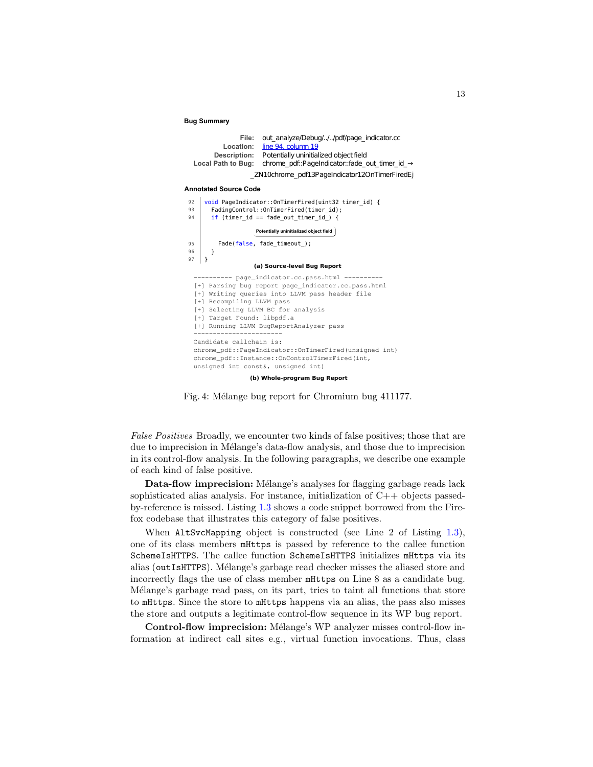#### **Bug Summary** extendion and product the control of the control of the control of the control of the control of the control of the control of the control of the control of the control of the control of the control of the co

<span id="page-12-0"></span>

|                                                                                                                                                                                                                                                                                                                              | out analyze/Debug///pdf/page indicator.cc<br>File:<br>line 94, column 19<br>Location:<br>Potentially uninitialized object field<br>Description:<br>chrome pdf::PageIndicator::fade out timer id →<br>Local Path to Bug:<br>_ZN10chrome_pdf13PageIndicator12OnTimerFiredEj |  |  |  |  |  |  |  |
|------------------------------------------------------------------------------------------------------------------------------------------------------------------------------------------------------------------------------------------------------------------------------------------------------------------------------|---------------------------------------------------------------------------------------------------------------------------------------------------------------------------------------------------------------------------------------------------------------------------|--|--|--|--|--|--|--|
| <b>Annotated Source Code</b><br>92                                                                                                                                                                                                                                                                                           |                                                                                                                                                                                                                                                                           |  |  |  |  |  |  |  |
| 93                                                                                                                                                                                                                                                                                                                           | void PageIndicator:: 0nTimerFired(uint32 timer id) {<br>FadingControl:: OnTimerFired(timer id);                                                                                                                                                                           |  |  |  |  |  |  |  |
| 94                                                                                                                                                                                                                                                                                                                           | if (timer id == fade out timer id ) {                                                                                                                                                                                                                                     |  |  |  |  |  |  |  |
|                                                                                                                                                                                                                                                                                                                              | Potentially uninitialized object field                                                                                                                                                                                                                                    |  |  |  |  |  |  |  |
| 95                                                                                                                                                                                                                                                                                                                           | Fade(false, fade timeout);                                                                                                                                                                                                                                                |  |  |  |  |  |  |  |
| 96                                                                                                                                                                                                                                                                                                                           | ł                                                                                                                                                                                                                                                                         |  |  |  |  |  |  |  |
| 97                                                                                                                                                                                                                                                                                                                           | ł<br>(a) Source-level Bug Report                                                                                                                                                                                                                                          |  |  |  |  |  |  |  |
| -------- page indicator.cc.pass.html ----------<br>[+] Parsing bug report page_indicator.cc.pass.html<br>[+] Writing queries into LLVM pass header file<br>[+] Recompiling LLVM pass<br>[+] Selecting LLVM BC for analysis<br>[+] Target Found: libpdf.a<br>[+] Running LLVM BugReportAnalyzer pass<br>--------------------- |                                                                                                                                                                                                                                                                           |  |  |  |  |  |  |  |
|                                                                                                                                                                                                                                                                                                                              | Candidate callchain is:<br>chrome_pdf::PageIndicator::OnTimerFired(unsigned int)<br>chrome_pdf::Instance::OnControlTimerFired(int,<br>unsigned int const&, unsigned int)                                                                                                  |  |  |  |  |  |  |  |

Fig. 4: Mélange bug report for Chromium bug 411177.

(b) Whole-program Bug Report

False Positives Broadly, we encounter two kinds of false positives; those that are due to imprecision in Mélange's data-flow analysis, and those due to imprecision in its control-flow analysis. In the following paragraphs, we describe one example of each kind of false positive.

Data-flow imprecision: Mélange's analyses for flagging garbage reads lack sophisticated alias analysis. For instance, initialization of C++ objects passedby-reference is missed. Listing [1.3](#page-13-0) shows a code snippet borrowed from the Firefox codebase that illustrates this category of false positives.

When AltSvcMapping object is constructed (see Line 2 of Listing [1.3\)](#page-13-0), one of its class members mHttps is passed by reference to the callee function SchemeIsHTTPS. The callee function SchemeIsHTTPS initializes mHttps via its alias (outIsHTPS). Mélange's garbage read checker misses the aliased store and incorrectly flags the use of class member mHttps on Line 8 as a candidate bug. Mélange's garbage read pass, on its part, tries to taint all functions that store to mHttps. Since the store to mHttps happens via an alias, the pass also misses the store and outputs a legitimate control-flow sequence in its WP bug report.

Control-flow imprecision: Mélange's WP analyzer misses control-flow information at indirect call sites e.g., virtual function invocations. Thus, class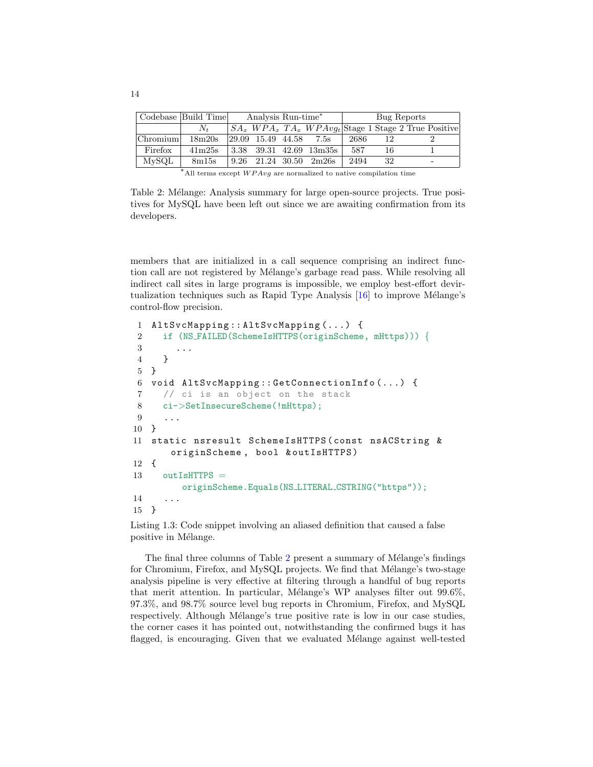<span id="page-13-1"></span>

|          | Codebase Build Time | Analysis Run-time <sup>*</sup> |                   |  |                          | Bug Reports |    |                                                                  |
|----------|---------------------|--------------------------------|-------------------|--|--------------------------|-------------|----|------------------------------------------------------------------|
|          | $N_{t}$             |                                |                   |  |                          |             |    | $ SA_x \ WPA_x \ TA_x \ WPAv g_t $ Stage 1 Stage 2 True Positive |
| Chromium | 18m20s              |                                | 29.09 15.49 44.58 |  | 7.5s                     | 2686        | 12 |                                                                  |
| Firefox  | 41m25s              |                                |                   |  | 3.38 39.31 42.69 13m35s  | 587         | 16 |                                                                  |
| MySQL    | 8m15s               |                                |                   |  | $9.26$ 21.24 30.50 2m26s | 2494        | 32 | -                                                                |

 $*$ All terms except  $WPAvg$  are normalized to native compilation time

Table 2: Mélange: Analysis summary for large open-source projects. True positives for MySQL have been left out since we are awaiting confirmation from its developers.

members that are initialized in a call sequence comprising an indirect function call are not registered by Mélange's garbage read pass. While resolving all indirect call sites in large programs is impossible, we employ best-effort devirtualization techniques such as Rapid Type Analysis  $[16]$  to improve Mélange's control-flow precision.

```
1 AltSvcMapping :: AltSvcMapping (...) {
2 if (NS FAILED(SchemeIsHTTPS(originScheme, mHttps))) {
3 ...
4 }
5 }
6 void AltSvcMapping :: GetConnectionInfo (...) {
7 // ci is an object on the stack
8 ci->SetInsecureScheme(!mHttps);
 9 ...
10 }
11 static nsresult SchemeIsHTTPS ( const nsACString &
      originScheme , bool & outIsHTTPS )
12 {
13 outIsHTTPS =
        originScheme.Equals(NS LITERAL CSTRING("https"));
14
15 }
```
Listing 1.3: Code snippet involving an aliased definition that caused a false positive in Mélange.

The final three columns of Table [2](#page-13-1) present a summary of Mélange's findings for Chromium, Firefox, and MySQL projects. We find that Mélange's two-stage analysis pipeline is very effective at filtering through a handful of bug reports that merit attention. In particular, Mélange's WP analyses filter out  $99.6\%$ , 97.3%, and 98.7% source level bug reports in Chromium, Firefox, and MySQL respectively. Although Mélange's true positive rate is low in our case studies, the corner cases it has pointed out, notwithstanding the confirmed bugs it has flagged, is encouraging. Given that we evaluated Mélange against well-tested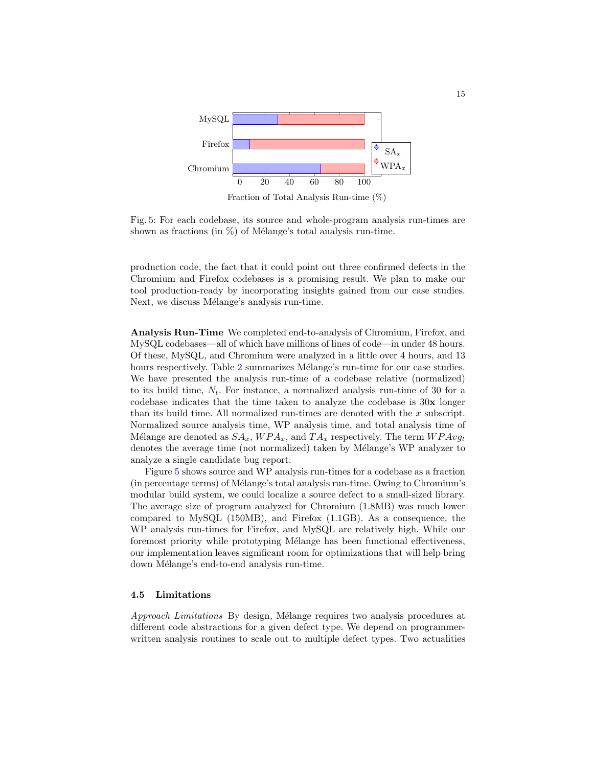<span id="page-14-0"></span>

Fraction of Total Analysis Run-time (%)

Fig. 5: For each codebase, its source and whole-program analysis run-times are shown as fractions (in  $\%$ ) of Mélange's total analysis run-time.

production code, the fact that it could point out three confirmed defects in the Chromium and Firefox codebases is a promising result. We plan to make our tool production-ready by incorporating insights gained from our case studies. Next, we discuss Mélange's analysis run-time.

Analysis Run-Time We completed end-to-analysis of Chromium, Firefox, and MySQL codebases—all of which have millions of lines of code—in under 48 hours. Of these, MySQL, and Chromium were analyzed in a little over 4 hours, and 13 hours respectively. Table [2](#page-13-1) summarizes Mélange's run-time for our case studies. We have presented the analysis run-time of a codebase relative (normalized) to its build time,  $N_t$ . For instance, a normalized analysis run-time of 30 for a codebase indicates that the time taken to analyze the codebase is  $30x$  longer than its build time. All normalized run-times are denoted with the x subscript. Normalized source analysis time, WP analysis time, and total analysis time of Mélange are denoted as  $SA_x$ ,  $WPA_x$ , and  $TA_x$  respectively. The term  $WPAv g_t$ denotes the average time (not normalized) taken by Mélange's WP analyzer to analyze a single candidate bug report.

Figure [5](#page-14-0) shows source and WP analysis run-times for a codebase as a fraction (in percentage terms) of Mélange's total analysis run-time. Owing to Chromium's modular build system, we could localize a source defect to a small-sized library. The average size of program analyzed for Chromium (1.8MB) was much lower compared to MySQL (150MB), and Firefox (1.1GB). As a consequence, the WP analysis run-times for Firefox, and MySQL are relatively high. While our foremost priority while prototyping Mélange has been functional effectiveness, our implementation leaves significant room for optimizations that will help bring down Mélange's end-to-end analysis run-time.

#### 4.5 Limitations

Approach Limitations By design, Mélange requires two analysis procedures at different code abstractions for a given defect type. We depend on programmerwritten analysis routines to scale out to multiple defect types. Two actualities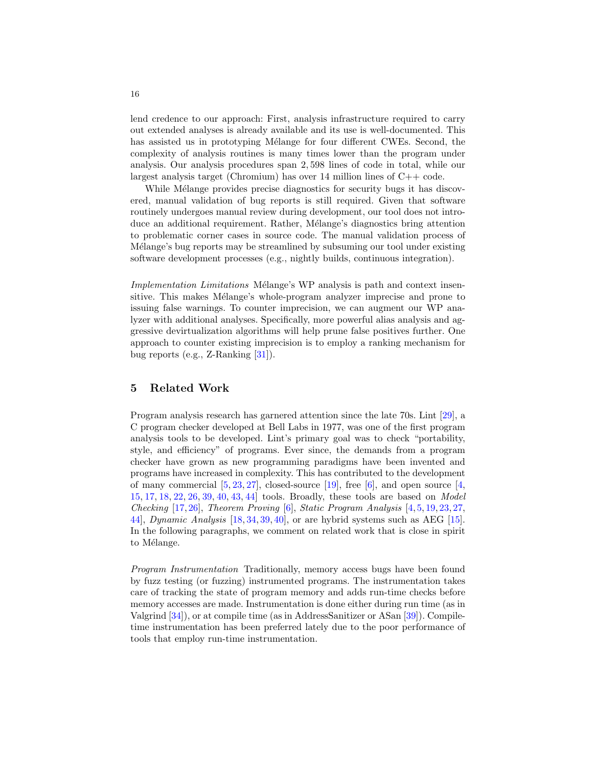lend credence to our approach: First, analysis infrastructure required to carry out extended analyses is already available and its use is well-documented. This has assisted us in prototyping Mélange for four different CWEs. Second, the complexity of analysis routines is many times lower than the program under analysis. Our analysis procedures span 2, 598 lines of code in total, while our largest analysis target (Chromium) has over 14 million lines of  $C++$  code.

While Mélange provides precise diagnostics for security bugs it has discovered, manual validation of bug reports is still required. Given that software routinely undergoes manual review during development, our tool does not introduce an additional requirement. Rather, Mélange's diagnostics bring attention to problematic corner cases in source code. The manual validation process of Mélange's bug reports may be streamlined by subsuming our tool under existing software development processes (e.g., nightly builds, continuous integration).

Implementation Limitations Mélange's WP analysis is path and context insensitive. This makes Mélange's whole-program analyzer imprecise and prone to issuing false warnings. To counter imprecision, we can augment our WP analyzer with additional analyses. Specifically, more powerful alias analysis and aggressive devirtualization algorithms will help prune false positives further. One approach to counter existing imprecision is to employ a ranking mechanism for bug reports (e.g., Z-Ranking [\[31\]](#page-19-10)).

### 5 Related Work

Program analysis research has garnered attention since the late 70s. Lint [\[29\]](#page-19-11), a C program checker developed at Bell Labs in 1977, was one of the first program analysis tools to be developed. Lint's primary goal was to check "portability, style, and efficiency" of programs. Ever since, the demands from a program checker have grown as new programming paradigms have been invented and programs have increased in complexity. This has contributed to the development of many commercial  $[5, 23, 27]$  $[5, 23, 27]$  $[5, 23, 27]$  $[5, 23, 27]$  $[5, 23, 27]$ , closed-source  $[19]$ , free  $[6]$ , and open source  $[4]$ , [15,](#page-18-17) [17,](#page-18-18) [18,](#page-18-19) [22,](#page-18-20) [26,](#page-18-21) [39,](#page-19-12) [40,](#page-19-9) [43,](#page-19-13) [44\]](#page-19-14) tools. Broadly, these tools are based on Model Checking [\[17,](#page-18-18) [26\]](#page-18-21), Theorem Proving [\[6\]](#page-18-16), Static Program Analysis [\[4,](#page-17-0) [5,](#page-17-4) [19,](#page-18-15) [23,](#page-18-13) [27,](#page-18-14) [44\]](#page-19-14), Dynamic Analysis [\[18,](#page-18-19) [34,](#page-19-15) [39,](#page-19-12) [40\]](#page-19-9), or are hybrid systems such as AEG [\[15\]](#page-18-17). In the following paragraphs, we comment on related work that is close in spirit to Mélange.

Program Instrumentation Traditionally, memory access bugs have been found by fuzz testing (or fuzzing) instrumented programs. The instrumentation takes care of tracking the state of program memory and adds run-time checks before memory accesses are made. Instrumentation is done either during run time (as in Valgrind [\[34\]](#page-19-15)), or at compile time (as in AddressSanitizer or ASan [\[39\]](#page-19-12)). Compiletime instrumentation has been preferred lately due to the poor performance of tools that employ run-time instrumentation.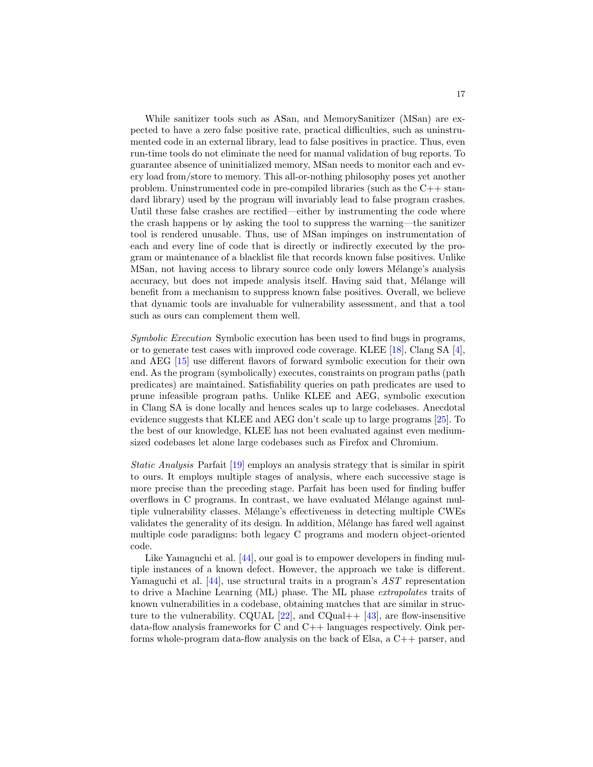While sanitizer tools such as ASan, and MemorySanitizer (MSan) are expected to have a zero false positive rate, practical difficulties, such as uninstrumented code in an external library, lead to false positives in practice. Thus, even run-time tools do not eliminate the need for manual validation of bug reports. To guarantee absence of uninitialized memory, MSan needs to monitor each and every load from/store to memory. This all-or-nothing philosophy poses yet another problem. Uninstrumented code in pre-compiled libraries (such as the C++ standard library) used by the program will invariably lead to false program crashes. Until these false crashes are rectified—either by instrumenting the code where the crash happens or by asking the tool to suppress the warning—the sanitizer tool is rendered unusable. Thus, use of MSan impinges on instrumentation of each and every line of code that is directly or indirectly executed by the program or maintenance of a blacklist file that records known false positives. Unlike MSan, not having access to library source code only lowers Mélange's analysis accuracy, but does not impede analysis itself. Having said that, Mélange will benefit from a mechanism to suppress known false positives. Overall, we believe that dynamic tools are invaluable for vulnerability assessment, and that a tool such as ours can complement them well.

Symbolic Execution Symbolic execution has been used to find bugs in programs, or to generate test cases with improved code coverage. KLEE [\[18\]](#page-18-19), Clang SA [\[4\]](#page-17-0), and AEG [\[15\]](#page-18-17) use different flavors of forward symbolic execution for their own end. As the program (symbolically) executes, constraints on program paths (path predicates) are maintained. Satisfiability queries on path predicates are used to prune infeasible program paths. Unlike KLEE and AEG, symbolic execution in Clang SA is done locally and hences scales up to large codebases. Anecdotal evidence suggests that KLEE and AEG don't scale up to large programs [\[25\]](#page-18-22). To the best of our knowledge, KLEE has not been evaluated against even mediumsized codebases let alone large codebases such as Firefox and Chromium.

Static Analysis Parfait [\[19\]](#page-18-15) employs an analysis strategy that is similar in spirit to ours. It employs multiple stages of analysis, where each successive stage is more precise than the preceding stage. Parfait has been used for finding buffer overflows in C programs. In contrast, we have evaluated Mélange against multiple vulnerability classes. Mélange's effectiveness in detecting multiple CWEs validates the generality of its design. In addition, Mélange has fared well against multiple code paradigms: both legacy C programs and modern object-oriented code.

Like Yamaguchi et al. [\[44\]](#page-19-14), our goal is to empower developers in finding multiple instances of a known defect. However, the approach we take is different. Yamaguchi et al. [\[44\]](#page-19-14), use structural traits in a program's AST representation to drive a Machine Learning (ML) phase. The ML phase extrapolates traits of known vulnerabilities in a codebase, obtaining matches that are similar in struc-ture to the vulnerability. CQUAL [\[22\]](#page-18-20), and CQual+ $+$  [\[43\]](#page-19-13), are flow-insensitive data-flow analysis frameworks for C and C++ languages respectively. Oink performs whole-program data-flow analysis on the back of Elsa, a C++ parser, and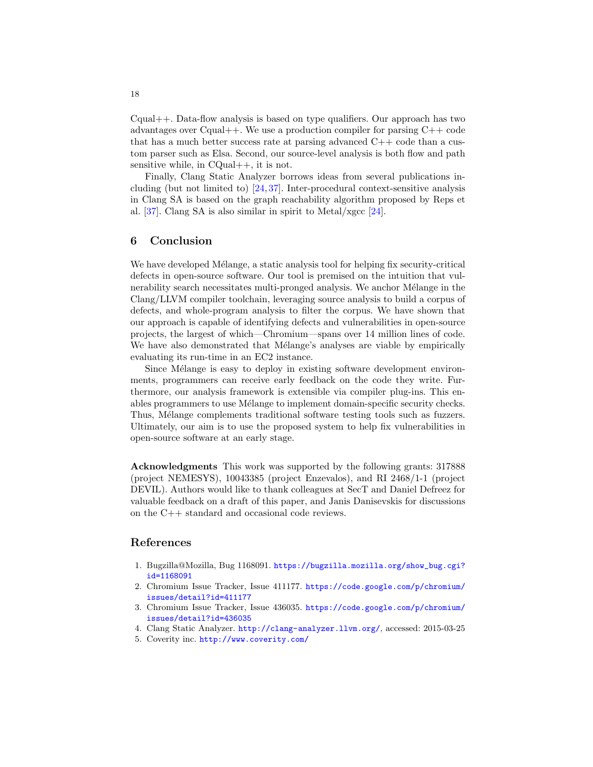Cqual++. Data-flow analysis is based on type qualifiers. Our approach has two advantages over Cqual++. We use a production compiler for parsing  $C++$  code that has a much better success rate at parsing advanced  $C++$  code than a custom parser such as Elsa. Second, our source-level analysis is both flow and path sensitive while, in CQual++, it is not.

Finally, Clang Static Analyzer borrows ideas from several publications including (but not limited to) [\[24,](#page-18-3) [37\]](#page-19-3). Inter-procedural context-sensitive analysis in Clang SA is based on the graph reachability algorithm proposed by Reps et al. [\[37\]](#page-19-3). Clang SA is also similar in spirit to Metal/xgcc [\[24\]](#page-18-3).

### 6 Conclusion

We have developed Mélange, a static analysis tool for helping fix security-critical defects in open-source software. Our tool is premised on the intuition that vulnerability search necessitates multi-pronged analysis. We anchor Mélange in the Clang/LLVM compiler toolchain, leveraging source analysis to build a corpus of defects, and whole-program analysis to filter the corpus. We have shown that our approach is capable of identifying defects and vulnerabilities in open-source projects, the largest of which—Chromium—spans over 14 million lines of code. We have also demonstrated that Mélange's analyses are viable by empirically evaluating its run-time in an EC2 instance.

Since Mélange is easy to deploy in existing software development environments, programmers can receive early feedback on the code they write. Furthermore, our analysis framework is extensible via compiler plug-ins. This enables programmers to use Mélange to implement domain-specific security checks. Thus, Mélange complements traditional software testing tools such as fuzzers. Ultimately, our aim is to use the proposed system to help fix vulnerabilities in open-source software at an early stage.

Acknowledgments This work was supported by the following grants: 317888 (project NEMESYS), 10043385 (project Enzevalos), and RI 2468/1-1 (project DEVIL). Authors would like to thank colleagues at SecT and Daniel Defreez for valuable feedback on a draft of this paper, and Janis Danisevskis for discussions on the C++ standard and occasional code reviews.

## References

- <span id="page-17-3"></span>1. Bugzilla@Mozilla, Bug 1168091. [https://bugzilla.mozilla.org/show\\_bug.cgi?](https://bugzilla.mozilla.org/show_bug.cgi?id=1168091) [id=1168091](https://bugzilla.mozilla.org/show_bug.cgi?id=1168091)
- <span id="page-17-1"></span>2. Chromium Issue Tracker, Issue 411177. [https://code.google.com/p/chromium/](https://code.google.com/p/chromium/issues/detail?id=411177) [issues/detail?id=411177](https://code.google.com/p/chromium/issues/detail?id=411177)
- <span id="page-17-2"></span>3. Chromium Issue Tracker, Issue 436035. [https://code.google.com/p/chromium/](https://code.google.com/p/chromium/issues/detail?id=436035) [issues/detail?id=436035](https://code.google.com/p/chromium/issues/detail?id=436035)
- <span id="page-17-0"></span>4. Clang Static Analyzer. <http://clang-analyzer.llvm.org/>, accessed: 2015-03-25
- <span id="page-17-4"></span>5. Coverity inc. <http://www.coverity.com/>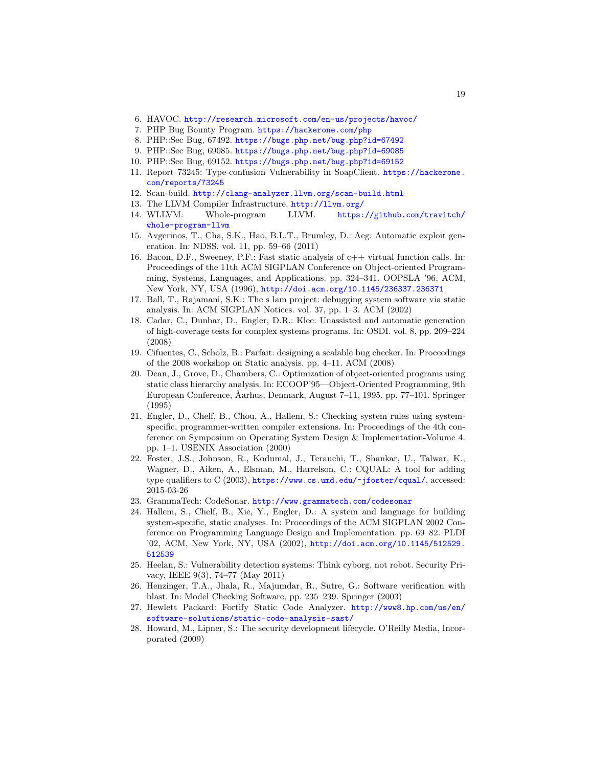- <span id="page-18-16"></span>6. HAVOC. <http://research.microsoft.com/en-us/projects/havoc/>
- <span id="page-18-7"></span>7. PHP Bug Bounty Program. <https://hackerone.com/php>
- <span id="page-18-9"></span>8. PHP::Sec Bug, 67492. <https://bugs.php.net/bug.php?id=67492>
- <span id="page-18-8"></span>9. PHP::Sec Bug, 69085. <https://bugs.php.net/bug.php?id=69085>
- <span id="page-18-11"></span>10. PHP::Sec Bug, 69152. <https://bugs.php.net/bug.php?id=69152>
- <span id="page-18-10"></span>11. Report 73245: Type-confusion Vulnerability in SoapClient. [https://hackerone.](https://hackerone.com/reports/73245) [com/reports/73245](https://hackerone.com/reports/73245)
- <span id="page-18-4"></span>12. Scan-build. <http://clang-analyzer.llvm.org/scan-build.html>
- <span id="page-18-1"></span>13. The LLVM Compiler Infrastructure. <http://llvm.org/>
- <span id="page-18-5"></span>14. WLLVM: Whole-program LLVM. [https://github.com/travitch/](https://github.com/travitch/whole-program-llvm) [whole-program-llvm](https://github.com/travitch/whole-program-llvm)
- <span id="page-18-17"></span>15. Avgerinos, T., Cha, S.K., Hao, B.L.T., Brumley, D.: Aeg: Automatic exploit generation. In: NDSS. vol. 11, pp. 59–66 (2011)
- <span id="page-18-12"></span>16. Bacon, D.F., Sweeney, P.F.: Fast static analysis of c++ virtual function calls. In: Proceedings of the 11th ACM SIGPLAN Conference on Object-oriented Programming, Systems, Languages, and Applications. pp. 324–341. OOPSLA '96, ACM, New York, NY, USA (1996), <http://doi.acm.org/10.1145/236337.236371>
- <span id="page-18-18"></span>17. Ball, T., Rajamani, S.K.: The s lam project: debugging system software via static analysis. In: ACM SIGPLAN Notices. vol. 37, pp. 1–3. ACM (2002)
- <span id="page-18-19"></span>18. Cadar, C., Dunbar, D., Engler, D.R.: Klee: Unassisted and automatic generation of high-coverage tests for complex systems programs. In: OSDI. vol. 8, pp. 209–224 (2008)
- <span id="page-18-15"></span>19. Cifuentes, C., Scholz, B.: Parfait: designing a scalable bug checker. In: Proceedings of the 2008 workshop on Static analysis. pp. 4–11. ACM (2008)
- <span id="page-18-6"></span>20. Dean, J., Grove, D., Chambers, C.: Optimization of object-oriented programs using static class hierarchy analysis. In: ECOOP'95—Object-Oriented Programming, 9th European Conference, Åarhus, Denmark, August 7–11, 1995. pp. 77–101. Springer (1995)
- <span id="page-18-2"></span>21. Engler, D., Chelf, B., Chou, A., Hallem, S.: Checking system rules using systemspecific, programmer-written compiler extensions. In: Proceedings of the 4th conference on Symposium on Operating System Design & Implementation-Volume 4. pp. 1–1. USENIX Association (2000)
- <span id="page-18-20"></span>22. Foster, J.S., Johnson, R., Kodumal, J., Terauchi, T., Shankar, U., Talwar, K., Wagner, D., Aiken, A., Elsman, M., Harrelson, C.: CQUAL: A tool for adding type qualifiers to C (2003), <https://www.cs.umd.edu/~jfoster/cqual/>, accessed: 2015-03-26
- <span id="page-18-13"></span>23. GrammaTech: CodeSonar. <http://www.grammatech.com/codesonar>
- <span id="page-18-3"></span>24. Hallem, S., Chelf, B., Xie, Y., Engler, D.: A system and language for building system-specific, static analyses. In: Proceedings of the ACM SIGPLAN 2002 Conference on Programming Language Design and Implementation. pp. 69–82. PLDI '02, ACM, New York, NY, USA (2002), [http://doi.acm.org/10.1145/512529.](http://doi.acm.org/10.1145/512529.512539) [512539](http://doi.acm.org/10.1145/512529.512539)
- <span id="page-18-22"></span>25. Heelan, S.: Vulnerability detection systems: Think cyborg, not robot. Security Privacy, IEEE 9(3), 74–77 (May 2011)
- <span id="page-18-21"></span>26. Henzinger, T.A., Jhala, R., Majumdar, R., Sutre, G.: Software verification with blast. In: Model Checking Software, pp. 235–239. Springer (2003)
- <span id="page-18-14"></span>27. Hewlett Packard: Fortify Static Code Analyzer. [http://www8.hp.com/us/en/](http://www8.hp.com/us/en/software-solutions/static-code-analysis-sast/) [software-solutions/static-code-analysis-sast/](http://www8.hp.com/us/en/software-solutions/static-code-analysis-sast/)
- <span id="page-18-0"></span>28. Howard, M., Lipner, S.: The security development lifecycle. O'Reilly Media, Incorporated (2009)